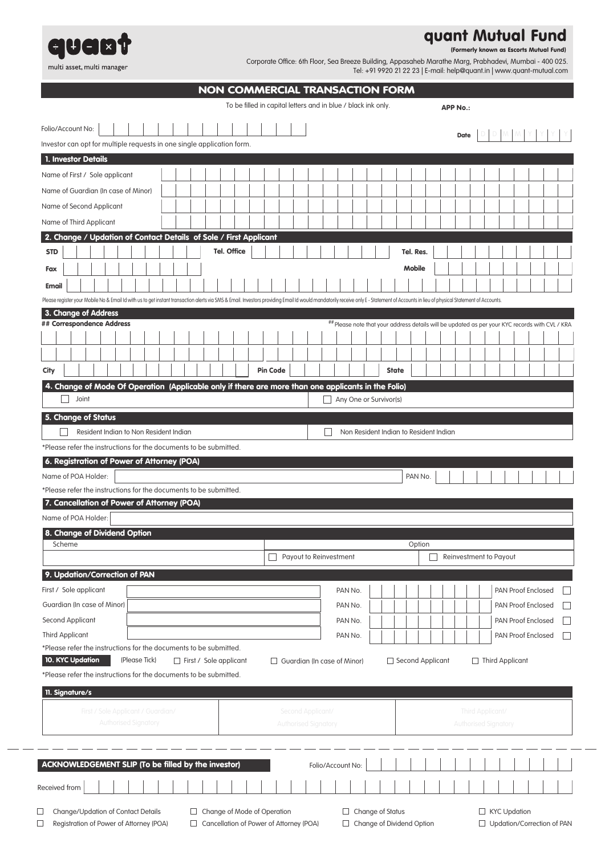

## **quant Mutual Fund**

**(Formerly known as Escorts Mutual Fund)**

 $\overline{\phantom{a}}$ 

Corporate Office: 6th Floor, Sea Breeze Building, Appasaheb Marathe Marg, Prabhadevi, Mumbai - 400 025. Tel: +91 9920 21 22 23 | E-mail: help@quant.in | www.quant-mutual.com

|                                                                                                                                                                                                                                                                                                                                                                                                                                                                                                                                                                                                                                                                                                                             |                             |                               |                    |  |                 | To be filled in capital letters and in blue / black ink only. |  |                                                                                                 |  |                  |               |  | <b>APP No.:</b> |                         |                        |                           |  |
|-----------------------------------------------------------------------------------------------------------------------------------------------------------------------------------------------------------------------------------------------------------------------------------------------------------------------------------------------------------------------------------------------------------------------------------------------------------------------------------------------------------------------------------------------------------------------------------------------------------------------------------------------------------------------------------------------------------------------------|-----------------------------|-------------------------------|--------------------|--|-----------------|---------------------------------------------------------------|--|-------------------------------------------------------------------------------------------------|--|------------------|---------------|--|-----------------|-------------------------|------------------------|---------------------------|--|
| Folio/Account No:                                                                                                                                                                                                                                                                                                                                                                                                                                                                                                                                                                                                                                                                                                           |                             |                               |                    |  |                 |                                                               |  |                                                                                                 |  |                  |               |  |                 |                         |                        |                           |  |
| Investor can opt for multiple requests in one single application form.                                                                                                                                                                                                                                                                                                                                                                                                                                                                                                                                                                                                                                                      |                             |                               |                    |  |                 |                                                               |  |                                                                                                 |  |                  |               |  | <b>Date</b>     |                         |                        |                           |  |
| 1. Investor Details                                                                                                                                                                                                                                                                                                                                                                                                                                                                                                                                                                                                                                                                                                         |                             |                               |                    |  |                 |                                                               |  |                                                                                                 |  |                  |               |  |                 |                         |                        |                           |  |
| Name of First / Sole applicant                                                                                                                                                                                                                                                                                                                                                                                                                                                                                                                                                                                                                                                                                              |                             |                               |                    |  |                 |                                                               |  |                                                                                                 |  |                  |               |  |                 |                         |                        |                           |  |
|                                                                                                                                                                                                                                                                                                                                                                                                                                                                                                                                                                                                                                                                                                                             |                             |                               |                    |  |                 |                                                               |  |                                                                                                 |  |                  |               |  |                 |                         |                        |                           |  |
| Name of Guardian (In case of Minor)                                                                                                                                                                                                                                                                                                                                                                                                                                                                                                                                                                                                                                                                                         |                             |                               |                    |  |                 |                                                               |  |                                                                                                 |  |                  |               |  |                 |                         |                        |                           |  |
| Name of Second Applicant                                                                                                                                                                                                                                                                                                                                                                                                                                                                                                                                                                                                                                                                                                    |                             |                               |                    |  |                 |                                                               |  |                                                                                                 |  |                  |               |  |                 |                         |                        |                           |  |
| Name of Third Applicant                                                                                                                                                                                                                                                                                                                                                                                                                                                                                                                                                                                                                                                                                                     |                             |                               |                    |  |                 |                                                               |  |                                                                                                 |  |                  |               |  |                 |                         |                        |                           |  |
| 2. Change / Updation of Contact Details of Sole / First Applicant                                                                                                                                                                                                                                                                                                                                                                                                                                                                                                                                                                                                                                                           |                             |                               |                    |  |                 |                                                               |  |                                                                                                 |  |                  |               |  |                 |                         |                        |                           |  |
| <b>STD</b>                                                                                                                                                                                                                                                                                                                                                                                                                                                                                                                                                                                                                                                                                                                  |                             |                               | <b>Tel. Office</b> |  |                 |                                                               |  |                                                                                                 |  |                  | Tel. Res.     |  |                 |                         |                        |                           |  |
| Fax                                                                                                                                                                                                                                                                                                                                                                                                                                                                                                                                                                                                                                                                                                                         |                             |                               |                    |  |                 |                                                               |  |                                                                                                 |  |                  | <b>Mobile</b> |  |                 |                         |                        |                           |  |
| <b>Email</b>                                                                                                                                                                                                                                                                                                                                                                                                                                                                                                                                                                                                                                                                                                                |                             |                               |                    |  |                 |                                                               |  |                                                                                                 |  |                  |               |  |                 |                         |                        |                           |  |
| Please register your Mobile No & Email Id with us to get instant transaction alerts via SMS & Email. Investors providing Email Id would mandatorily receive only E - Statement of Accounts in lieu of physical Statement of Ac                                                                                                                                                                                                                                                                                                                                                                                                                                                                                              |                             |                               |                    |  |                 |                                                               |  |                                                                                                 |  |                  |               |  |                 |                         |                        |                           |  |
| 3. Change of Address                                                                                                                                                                                                                                                                                                                                                                                                                                                                                                                                                                                                                                                                                                        |                             |                               |                    |  |                 |                                                               |  |                                                                                                 |  |                  |               |  |                 |                         |                        |                           |  |
| ## Correspondence Address                                                                                                                                                                                                                                                                                                                                                                                                                                                                                                                                                                                                                                                                                                   |                             |                               |                    |  |                 |                                                               |  | ## Please note that your address details will be updated as per your KYC records with CVL / KRA |  |                  |               |  |                 |                         |                        |                           |  |
|                                                                                                                                                                                                                                                                                                                                                                                                                                                                                                                                                                                                                                                                                                                             |                             |                               |                    |  |                 |                                                               |  |                                                                                                 |  |                  |               |  |                 |                         |                        |                           |  |
|                                                                                                                                                                                                                                                                                                                                                                                                                                                                                                                                                                                                                                                                                                                             |                             |                               |                    |  |                 |                                                               |  |                                                                                                 |  |                  |               |  |                 |                         |                        |                           |  |
| City                                                                                                                                                                                                                                                                                                                                                                                                                                                                                                                                                                                                                                                                                                                        |                             |                               |                    |  | <b>Pin Code</b> |                                                               |  |                                                                                                 |  | <b>State</b>     |               |  |                 |                         |                        |                           |  |
| 4. Change of Mode Of Operation (Applicable only if there are more than one applicants in the Folio)                                                                                                                                                                                                                                                                                                                                                                                                                                                                                                                                                                                                                         |                             |                               |                    |  |                 |                                                               |  |                                                                                                 |  |                  |               |  |                 |                         |                        |                           |  |
| Joint                                                                                                                                                                                                                                                                                                                                                                                                                                                                                                                                                                                                                                                                                                                       |                             |                               |                    |  |                 |                                                               |  | $\Box$ Any One or Survivor(s)                                                                   |  |                  |               |  |                 |                         |                        |                           |  |
| 5. Change of Status                                                                                                                                                                                                                                                                                                                                                                                                                                                                                                                                                                                                                                                                                                         |                             |                               |                    |  |                 |                                                               |  |                                                                                                 |  |                  |               |  |                 |                         |                        |                           |  |
| Resident Indian to Non Resident Indian                                                                                                                                                                                                                                                                                                                                                                                                                                                                                                                                                                                                                                                                                      |                             |                               |                    |  |                 |                                                               |  | Non Resident Indian to Resident Indian                                                          |  |                  |               |  |                 |                         |                        |                           |  |
|                                                                                                                                                                                                                                                                                                                                                                                                                                                                                                                                                                                                                                                                                                                             |                             |                               |                    |  |                 |                                                               |  |                                                                                                 |  |                  | PAN No.       |  |                 |                         |                        |                           |  |
|                                                                                                                                                                                                                                                                                                                                                                                                                                                                                                                                                                                                                                                                                                                             |                             |                               |                    |  |                 |                                                               |  |                                                                                                 |  |                  |               |  |                 |                         |                        |                           |  |
|                                                                                                                                                                                                                                                                                                                                                                                                                                                                                                                                                                                                                                                                                                                             |                             |                               |                    |  |                 |                                                               |  |                                                                                                 |  |                  |               |  |                 |                         |                        |                           |  |
|                                                                                                                                                                                                                                                                                                                                                                                                                                                                                                                                                                                                                                                                                                                             |                             |                               |                    |  |                 |                                                               |  |                                                                                                 |  |                  | Option        |  |                 |                         |                        |                           |  |
|                                                                                                                                                                                                                                                                                                                                                                                                                                                                                                                                                                                                                                                                                                                             |                             |                               |                    |  |                 | Payout to Reinvestment                                        |  |                                                                                                 |  |                  |               |  |                 |                         | Reinvestment to Payout |                           |  |
|                                                                                                                                                                                                                                                                                                                                                                                                                                                                                                                                                                                                                                                                                                                             |                             |                               |                    |  |                 |                                                               |  |                                                                                                 |  |                  |               |  |                 |                         |                        |                           |  |
|                                                                                                                                                                                                                                                                                                                                                                                                                                                                                                                                                                                                                                                                                                                             |                             |                               |                    |  |                 |                                                               |  | PAN No.                                                                                         |  |                  |               |  |                 |                         |                        | PAN Proof Enclosed        |  |
|                                                                                                                                                                                                                                                                                                                                                                                                                                                                                                                                                                                                                                                                                                                             |                             |                               |                    |  |                 |                                                               |  | PAN No.                                                                                         |  |                  |               |  |                 |                         |                        | <b>PAN Proof Enclosed</b> |  |
|                                                                                                                                                                                                                                                                                                                                                                                                                                                                                                                                                                                                                                                                                                                             |                             |                               |                    |  |                 |                                                               |  | PAN No.                                                                                         |  |                  |               |  |                 |                         |                        | PAN Proof Enclosed        |  |
|                                                                                                                                                                                                                                                                                                                                                                                                                                                                                                                                                                                                                                                                                                                             |                             |                               |                    |  |                 |                                                               |  | PAN No.                                                                                         |  |                  |               |  |                 |                         |                        | PAN Proof Enclosed        |  |
|                                                                                                                                                                                                                                                                                                                                                                                                                                                                                                                                                                                                                                                                                                                             |                             |                               |                    |  |                 |                                                               |  |                                                                                                 |  |                  |               |  |                 |                         |                        |                           |  |
|                                                                                                                                                                                                                                                                                                                                                                                                                                                                                                                                                                                                                                                                                                                             | (Please Tick)               | $\Box$ First / Sole applicant |                    |  |                 | $\Box$ Guardian (In case of Minor)                            |  |                                                                                                 |  | Second Applicant |               |  |                 |                         |                        | $\Box$ Third Applicant    |  |
|                                                                                                                                                                                                                                                                                                                                                                                                                                                                                                                                                                                                                                                                                                                             |                             |                               |                    |  |                 |                                                               |  |                                                                                                 |  |                  |               |  |                 |                         |                        |                           |  |
|                                                                                                                                                                                                                                                                                                                                                                                                                                                                                                                                                                                                                                                                                                                             |                             |                               |                    |  |                 |                                                               |  |                                                                                                 |  |                  |               |  |                 |                         |                        |                           |  |
|                                                                                                                                                                                                                                                                                                                                                                                                                                                                                                                                                                                                                                                                                                                             |                             |                               |                    |  |                 |                                                               |  |                                                                                                 |  |                  |               |  |                 |                         |                        |                           |  |
| First / Sole Applicant / Guardian/                                                                                                                                                                                                                                                                                                                                                                                                                                                                                                                                                                                                                                                                                          | <b>Authorised Signatory</b> |                               |                    |  |                 | Second Applicant/                                             |  |                                                                                                 |  |                  |               |  |                 | <b>Third Applicant/</b> |                        |                           |  |
|                                                                                                                                                                                                                                                                                                                                                                                                                                                                                                                                                                                                                                                                                                                             |                             |                               |                    |  |                 | <b>Authorised Signatory</b>                                   |  |                                                                                                 |  |                  |               |  |                 |                         | Authorised Signatory   |                           |  |
|                                                                                                                                                                                                                                                                                                                                                                                                                                                                                                                                                                                                                                                                                                                             |                             |                               |                    |  |                 |                                                               |  |                                                                                                 |  |                  |               |  |                 |                         |                        |                           |  |
|                                                                                                                                                                                                                                                                                                                                                                                                                                                                                                                                                                                                                                                                                                                             |                             |                               |                    |  |                 |                                                               |  | Folio/Account No:                                                                               |  |                  |               |  |                 |                         |                        |                           |  |
| *Please refer the instructions for the documents to be submitted.<br>6. Registration of Power of Attorney (POA)<br>Name of POA Holder:<br>*Please refer the instructions for the documents to be submitted.<br>7. Cancellation of Power of Attorney (POA)<br>Name of POA Holder:<br>8. Change of Dividend Option<br>Scheme<br>9. Updation/Correction of PAN<br>First / Sole applicant<br>Guardian (In case of Minor)<br>Second Applicant<br><b>Third Applicant</b><br>*Please refer the instructions for the documents to be submitted.<br>10. KYC Updation<br>*Please refer the instructions for the documents to be submitted.<br>11. Signature/s<br>ACKNOWLEDGEMENT SLIP (To be filled by the investor)<br>Received from |                             |                               |                    |  |                 |                                                               |  |                                                                                                 |  |                  |               |  |                 |                         |                        |                           |  |